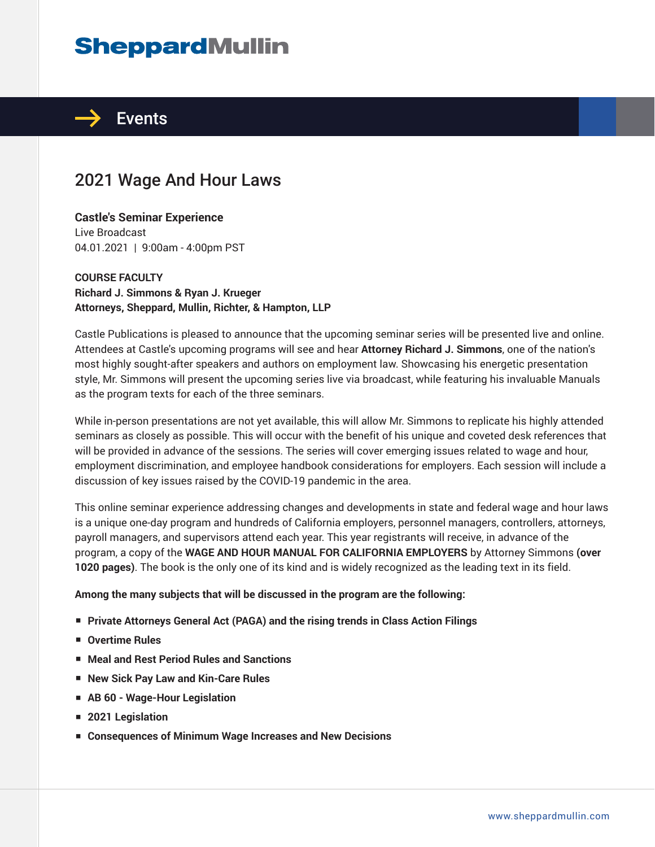# **SheppardMullin**



# 2021 Wage And Hour Laws

# **Castle's Seminar Experience**

Live Broadcast 04.01.2021 | 9:00am - 4:00pm PST

## **COURSE FACULTY Richard J. Simmons & Ryan J. Krueger Attorneys, Sheppard, Mullin, Richter, & Hampton, LLP**

Castle Publications is pleased to announce that the upcoming seminar series will be presented live and online. Attendees at Castle's upcoming programs will see and hear **Attorney Richard J. Simmons**, one of the nation's most highly sought-after speakers and authors on employment law. Showcasing his energetic presentation style, Mr. Simmons will present the upcoming series live via broadcast, while featuring his invaluable Manuals as the program texts for each of the three seminars.

While in-person presentations are not yet available, this will allow Mr. Simmons to replicate his highly attended seminars as closely as possible. This will occur with the benefit of his unique and coveted desk references that will be provided in advance of the sessions. The series will cover emerging issues related to wage and hour, employment discrimination, and employee handbook considerations for employers. Each session will include a discussion of key issues raised by the COVID-19 pandemic in the area.

This online seminar experience addressing changes and developments in state and federal wage and hour laws is a unique one-day program and hundreds of California employers, personnel managers, controllers, attorneys, payroll managers, and supervisors attend each year. This year registrants will receive, in advance of the program, a copy of the **WAGE AND HOUR MANUAL FOR CALIFORNIA EMPLOYERS** by Attorney Simmons **(over 1020 pages)**. The book is the only one of its kind and is widely recognized as the leading text in its field.

### **Among the many subjects that will be discussed in the program are the following:**

- **Private Attorneys General Act (PAGA) and the rising trends in Class Action Filings**
- **Overtime Rules**
- **Meal and Rest Period Rules and Sanctions**
- **New Sick Pay Law and Kin-Care Rules**
- **AB 60 Wage-Hour Legislation**
- **2021 Legislation**
- **Consequences of Minimum Wage Increases and New Decisions**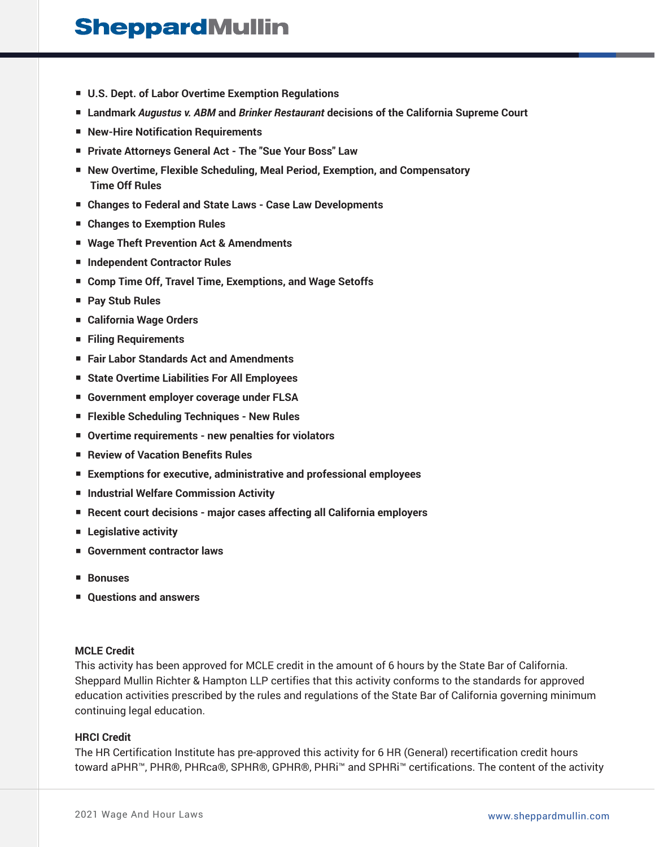# **SheppardMullin**

- **U.S. Dept. of Labor Overtime Exemption Regulations**
- **Landmark** *Augustus v. ABM* **and** *Brinker Restaurant* **decisions of the California Supreme Court**
- **New-Hire Notification Requirements**
- **Private Attorneys General Act The "Sue Your Boss" Law**
- **New Overtime, Flexible Scheduling, Meal Period, Exemption, and Compensatory Time Off Rules**
- **Changes to Federal and State Laws Case Law Developments**
- **Changes to Exemption Rules**
- **Wage Theft Prevention Act & Amendments**
- **Independent Contractor Rules**
- **Comp Time Off, Travel Time, Exemptions, and Wage Setoffs**
- **Pay Stub Rules**
- **California Wage Orders**
- **Filing Requirements**
- **Fair Labor Standards Act and Amendments**
- State Overtime Liabilities For All Employees
- **Government employer coverage under FLSA**
- **Flexible Scheduling Techniques New Rules**
- **Overtime requirements new penalties for violators**
- **Review of Vacation Benefits Rules**
- **Exemptions for executive, administrative and professional employees**
- **Industrial Welfare Commission Activity**
- **Recent court decisions major cases affecting all California employers**
- **Legislative activity**
- Government contractor laws
- **Bonuses**
- **Questions and answers**

#### **MCLE Credit**

This activity has been approved for MCLE credit in the amount of 6 hours by the State Bar of California. Sheppard Mullin Richter & Hampton LLP certifies that this activity conforms to the standards for approved education activities prescribed by the rules and regulations of the State Bar of California governing minimum continuing legal education.

#### **HRCI Credit**

The HR Certification Institute has pre-approved this activity for 6 HR (General) recertification credit hours toward aPHR™, PHR®, PHRca®, SPHR®, GPHR®, PHRi™ and SPHRi™ certifications. The content of the activity